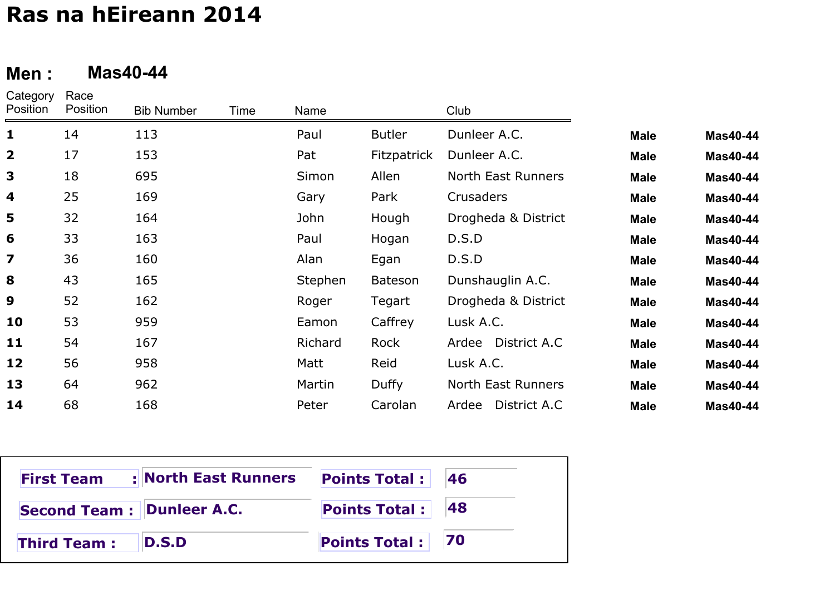#### **Men :Mas40-44**

| Category<br>Position    | Race<br>Position | <b>Bib Number</b> | Time | Name    |                    | Club                  |             |                 |
|-------------------------|------------------|-------------------|------|---------|--------------------|-----------------------|-------------|-----------------|
| $\mathbf{1}$            | 14               | 113               |      | Paul    | <b>Butler</b>      | Dunleer A.C.          | <b>Male</b> | <b>Mas40-44</b> |
| $\overline{\mathbf{2}}$ | 17               | 153               |      | Pat     | <b>Fitzpatrick</b> | Dunleer A.C.          | <b>Male</b> | <b>Mas40-44</b> |
| 3                       | 18               | 695               |      | Simon   | Allen              | North East Runners    | <b>Male</b> | <b>Mas40-44</b> |
| $\overline{\mathbf{4}}$ | 25               | 169               |      | Gary    | Park               | Crusaders             | <b>Male</b> | <b>Mas40-44</b> |
| 5                       | 32               | 164               |      | John    | Hough              | Drogheda & District   | <b>Male</b> | <b>Mas40-44</b> |
| 6                       | 33               | 163               |      | Paul    | Hogan              | D.S.D                 | <b>Male</b> | <b>Mas40-44</b> |
| 7                       | 36               | 160               |      | Alan    | Egan               | D.S.D                 | <b>Male</b> | <b>Mas40-44</b> |
| 8                       | 43               | 165               |      | Stephen | <b>Bateson</b>     | Dunshauglin A.C.      | <b>Male</b> | <b>Mas40-44</b> |
| 9                       | 52               | 162               |      | Roger   | Tegart             | Drogheda & District   | <b>Male</b> | <b>Mas40-44</b> |
| 10                      | 53               | 959               |      | Eamon   | Caffrey            | Lusk A.C.             | <b>Male</b> | <b>Mas40-44</b> |
| 11                      | 54               | 167               |      | Richard | Rock               | Ardee District A.C    | <b>Male</b> | <b>Mas40-44</b> |
| 12                      | 56               | 958               |      | Matt    | Reid               | Lusk A.C.             | <b>Male</b> | <b>Mas40-44</b> |
| 13                      | 64               | 962               |      | Martin  | Duffy              | North East Runners    | <b>Male</b> | <b>Mas40-44</b> |
| 14                      | 68               | 168               |      | Peter   | Carolan            | District A.C<br>Ardee | <b>Male</b> | <b>Mas40-44</b> |

| <b>First Team</b>          | : North East Runners | <b>Points Total: 46</b> |  |
|----------------------------|----------------------|-------------------------|--|
| Second Team : Dunleer A.C. |                      | Points Total: 48        |  |
| <b>Third Team:</b>         | D.S.D                | Points Total : 70       |  |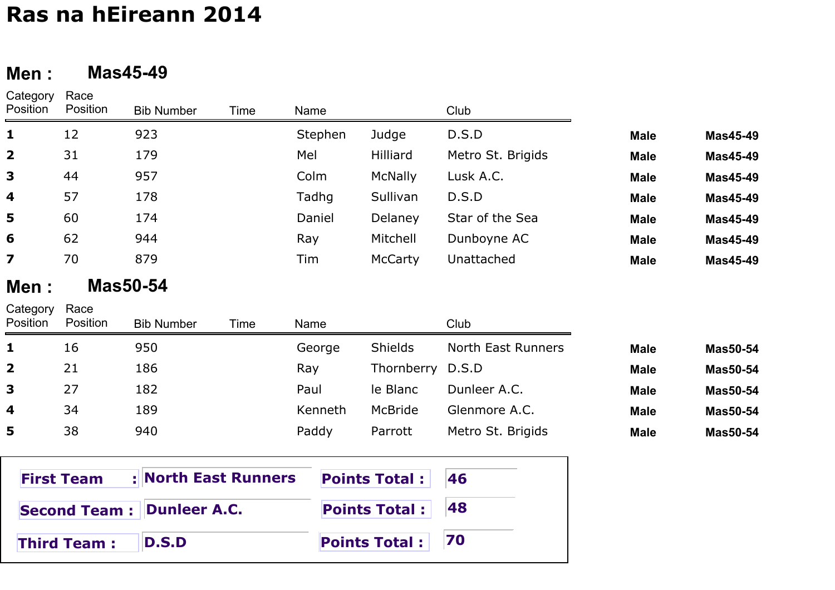#### **Men :Mas45-49**

| Category<br>Position    | Race<br>Position | <b>Bib Number</b> | Time | Name    |                | Club                      |             |          |
|-------------------------|------------------|-------------------|------|---------|----------------|---------------------------|-------------|----------|
| 1                       | 12               | 923               |      | Stephen | Judge          | D.S.D                     | <b>Male</b> | Mas45-49 |
| $\overline{\mathbf{2}}$ | 31               | 179               |      | Mel     | Hilliard       | Metro St. Brigids         | <b>Male</b> | Mas45-49 |
| 3                       | 44               | 957               |      | Colm    | <b>McNally</b> | Lusk A.C.                 | <b>Male</b> | Mas45-49 |
| 4                       | 57               | 178               |      | Tadhg   | Sullivan       | D.S.D                     | <b>Male</b> | Mas45-49 |
| 5                       | 60               | 174               |      | Daniel  | Delaney        | Star of the Sea           | <b>Male</b> | Mas45-49 |
| 6                       | 62               | 944               |      | Ray     | Mitchell       | Dunboyne AC               | <b>Male</b> | Mas45-49 |
| $\overline{\mathbf{z}}$ | 70               | 879               |      | Tim     | McCarty        | Unattached                | <b>Male</b> | Mas45-49 |
| Men :                   |                  | <b>Mas50-54</b>   |      |         |                |                           |             |          |
| Category<br>Position    | Race<br>Position | <b>Bib Number</b> | Time | Name    |                | Club                      |             |          |
| 1                       | 16               | 950               |      | George  | <b>Shields</b> | <b>North East Runners</b> | <b>Male</b> | Mas50-54 |
| $\overline{\mathbf{2}}$ | 21               | 186               |      | Ray     | Thornberry     | D.S.D                     | <b>Male</b> | Mas50-54 |
| 3                       | 27               | 182               |      | Paul    | le Blanc       | Dunleer A.C.              | <b>Male</b> | Mas50-54 |
| 4                       | 34               | 189               |      | Kenneth | McBride        | Glenmore A.C.             | <b>Male</b> | Mas50-54 |
| 5                       | 38               | 940               |      | Paddy   | Parrott        | Metro St. Brigids         | <b>Male</b> | Mas50-54 |

| <b>First Team</b>                | : North East Runners | <b>Points Total:</b> 46 |  |
|----------------------------------|----------------------|-------------------------|--|
| <b>Second Team: Dunleer A.C.</b> |                      | Points Total : $ 48 $   |  |
| <b>Third Team:</b>               | <b>ID.S.D</b>        | Points Total : 70       |  |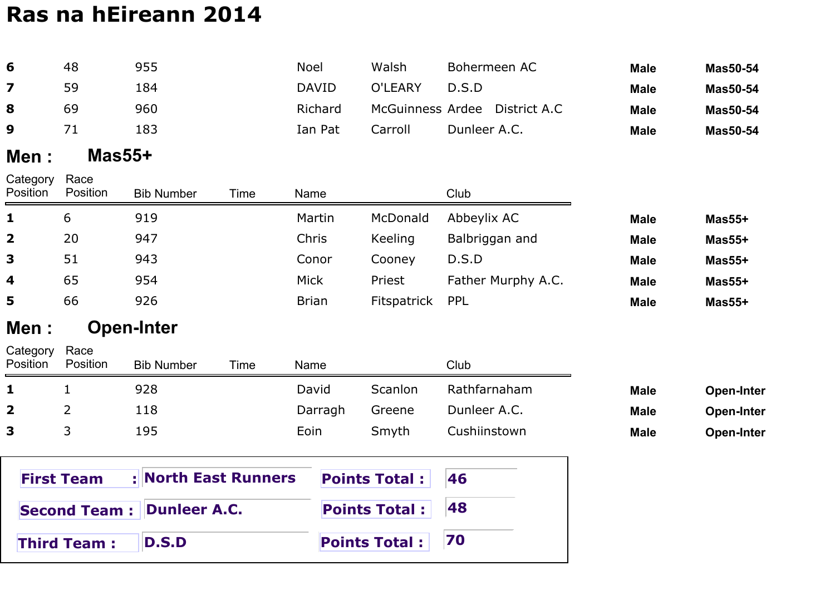| 6                    | 48                  | 955                  |      | <b>Noel</b>  |         | Walsh                |              | Bohermeen AC                  | <b>Male</b> | <b>Mas50-54</b>   |
|----------------------|---------------------|----------------------|------|--------------|---------|----------------------|--------------|-------------------------------|-------------|-------------------|
| 7                    | 59                  | 184                  |      | <b>DAVID</b> |         | O'LEARY              | D.S.D        |                               | <b>Male</b> | <b>Mas50-54</b>   |
| 8                    | 69                  | 960                  |      |              | Richard |                      |              | McGuinness Ardee District A.C | <b>Male</b> | <b>Mas50-54</b>   |
| 9                    | 71                  | 183                  |      |              | Ian Pat | Carroll              | Dunleer A.C. |                               | <b>Male</b> | <b>Mas50-54</b>   |
| Men :                | $Mas55+$            |                      |      |              |         |                      |              |                               |             |                   |
| Category<br>Position | Race<br>Position    | <b>Bib Number</b>    | Time | Name         |         |                      | Club         |                               |             |                   |
| 1                    | 6                   | 919                  |      | Martin       |         | McDonald             | Abbeylix AC  |                               | <b>Male</b> | $Mas55+$          |
| 2                    | 20                  | 947                  |      | Chris        |         | Keeling              |              | Balbriggan and                | <b>Male</b> | $Mas55+$          |
| 3                    | 51                  | 943                  |      | Conor        |         | Cooney               | D.S.D        |                               | <b>Male</b> | $Mas55+$          |
| 4                    | 65                  | 954                  |      | <b>Mick</b>  |         | Priest               |              | Father Murphy A.C.            | <b>Male</b> | $Mas55+$          |
| 5                    | 66                  | 926                  |      | <b>Brian</b> |         | Fitspatrick          | <b>PPL</b>   |                               | <b>Male</b> | $Mas55+$          |
| Men :                |                     | <b>Open-Inter</b>    |      |              |         |                      |              |                               |             |                   |
| Category<br>Position | Race<br>Position    | <b>Bib Number</b>    | Time | Name         |         |                      | Club         |                               |             |                   |
| 1                    | $\mathbf 1$         | 928                  |      | David        |         | Scanlon              |              | Rathfarnaham                  | <b>Male</b> | <b>Open-Inter</b> |
| $\mathbf{2}$         | 2                   | 118                  |      |              | Darragh | Greene               | Dunleer A.C. |                               | <b>Male</b> | <b>Open-Inter</b> |
| 3                    | 3                   | 195                  |      | Eoin         |         | Smyth                | Cushiinstown |                               | <b>Male</b> | <b>Open-Inter</b> |
|                      | <b>First Team</b>   | : North East Runners |      |              |         | <b>Points Total:</b> | 46           |                               |             |                   |
|                      | <b>Second Team:</b> | <b>Dunleer A.C.</b>  |      |              |         | <b>Points Total:</b> | 48           |                               |             |                   |
|                      | <b>Third Team:</b>  | <b>D.S.D</b>         |      |              |         | <b>Points Total:</b> | 70           |                               |             |                   |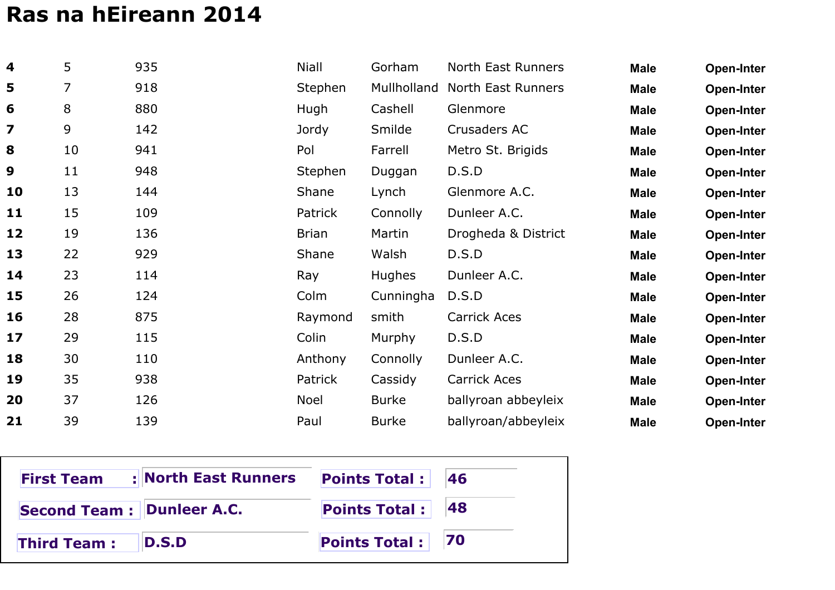| $\overline{\mathbf{4}}$ | 5  | 935 | <b>Niall</b>   | Gorham        | <b>North East Runners</b> | <b>Male</b> | <b>Open-Inter</b> |
|-------------------------|----|-----|----------------|---------------|---------------------------|-------------|-------------------|
| 5                       | 7  | 918 | Stephen        | Mullholland   | North East Runners        | <b>Male</b> | <b>Open-Inter</b> |
| 6                       | 8  | 880 | Hugh           | Cashell       | Glenmore                  | <b>Male</b> | <b>Open-Inter</b> |
| $\overline{\mathbf{z}}$ | 9  | 142 | Jordy          | Smilde        | Crusaders AC              | <b>Male</b> | <b>Open-Inter</b> |
| 8                       | 10 | 941 | Pol            | Farrell       | Metro St. Brigids         | <b>Male</b> | Open-Inter        |
| 9                       | 11 | 948 | Stephen        | Duggan        | D.S.D                     | <b>Male</b> | <b>Open-Inter</b> |
| 10                      | 13 | 144 | Shane          | Lynch         | Glenmore A.C.             | <b>Male</b> | Open-Inter        |
| 11                      | 15 | 109 | <b>Patrick</b> | Connolly      | Dunleer A.C.              | <b>Male</b> | <b>Open-Inter</b> |
| 12                      | 19 | 136 | <b>Brian</b>   | Martin        | Drogheda & District       | <b>Male</b> | <b>Open-Inter</b> |
| 13                      | 22 | 929 | Shane          | Walsh         | D.S.D                     | <b>Male</b> | <b>Open-Inter</b> |
| 14                      | 23 | 114 | Ray            | <b>Hughes</b> | Dunleer A.C.              | <b>Male</b> | <b>Open-Inter</b> |
| 15                      | 26 | 124 | Colm           | Cunningha     | D.S.D                     | <b>Male</b> | <b>Open-Inter</b> |
| 16                      | 28 | 875 | Raymond        | smith         | <b>Carrick Aces</b>       | <b>Male</b> | <b>Open-Inter</b> |
| 17                      | 29 | 115 | Colin          | Murphy        | D.S.D                     | <b>Male</b> | <b>Open-Inter</b> |
| 18                      | 30 | 110 | Anthony        | Connolly      | Dunleer A.C.              | <b>Male</b> | Open-Inter        |
| 19                      | 35 | 938 | Patrick        | Cassidy       | Carrick Aces              | <b>Male</b> | <b>Open-Inter</b> |
| 20                      | 37 | 126 | <b>Noel</b>    | <b>Burke</b>  | ballyroan abbeyleix       | <b>Male</b> | <b>Open-Inter</b> |
| 21                      | 39 | 139 | Paul           | <b>Burke</b>  | ballyroan/abbeyleix       | <b>Male</b> | Open-Inter        |

| <b>First Team</b>          | : North East Runners | <b>Points Total:</b> 46 |  |
|----------------------------|----------------------|-------------------------|--|
| Second Team : Dunleer A.C. |                      | Points Total: 48        |  |
| <b>Third Team:</b>         | <b>ID.S.D</b>        | Points Total: 70        |  |